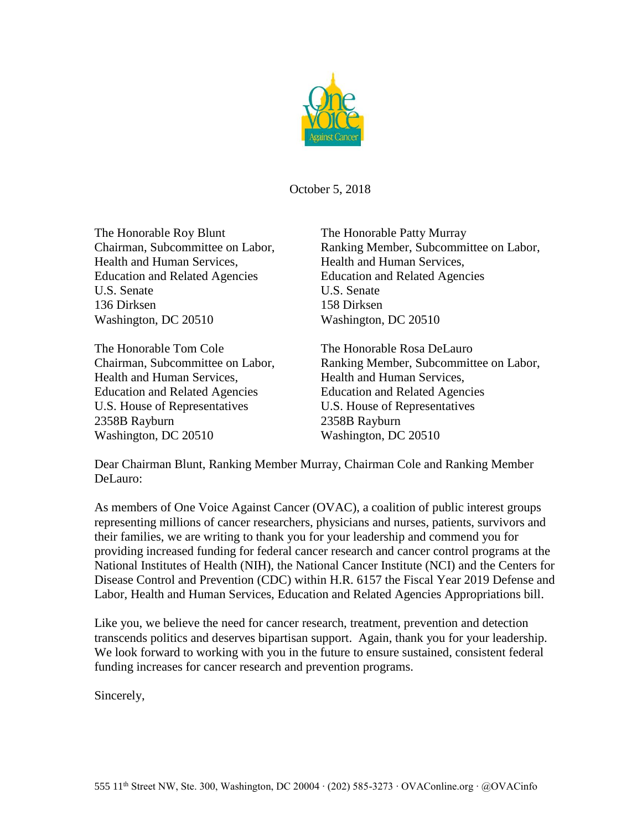

October 5, 2018

The Honorable Roy Blunt The Honorable Patty Murray Health and Human Services, Health and Human Services, Education and Related Agencies Education and Related Agencies U.S. Senate U.S. Senate 136 Dirksen 158 Dirksen Washington, DC 20510 Washington, DC 20510

The Honorable Tom Cole The Honorable Rosa DeLauro Health and Human Services, Health and Human Services, Education and Related Agencies Education and Related Agencies U.S. House of Representatives U.S. House of Representatives 2358B Rayburn 2358B Rayburn Washington, DC 20510 Washington, DC 20510

Chairman, Subcommittee on Labor, Ranking Member, Subcommittee on Labor,

Chairman, Subcommittee on Labor, Ranking Member, Subcommittee on Labor,

Dear Chairman Blunt, Ranking Member Murray, Chairman Cole and Ranking Member DeLauro:

As members of One Voice Against Cancer (OVAC), a coalition of public interest groups representing millions of cancer researchers, physicians and nurses, patients, survivors and their families, we are writing to thank you for your leadership and commend you for providing increased funding for federal cancer research and cancer control programs at the National Institutes of Health (NIH), the National Cancer Institute (NCI) and the Centers for Disease Control and Prevention (CDC) within H.R. 6157 the Fiscal Year 2019 Defense and Labor, Health and Human Services, Education and Related Agencies Appropriations bill.

Like you, we believe the need for cancer research, treatment, prevention and detection transcends politics and deserves bipartisan support. Again, thank you for your leadership. We look forward to working with you in the future to ensure sustained, consistent federal funding increases for cancer research and prevention programs.

Sincerely,